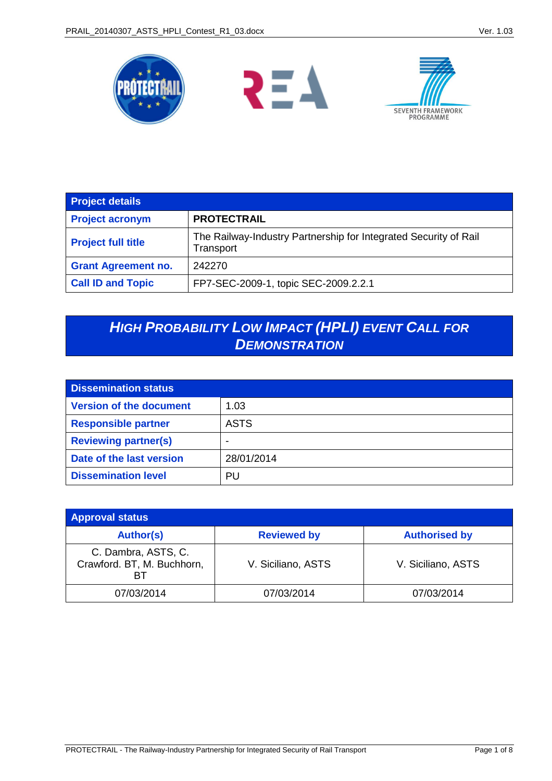

| <b>Project details</b>     |                                                                               |  |
|----------------------------|-------------------------------------------------------------------------------|--|
| <b>Project acronym</b>     | <b>PROTECTRAIL</b>                                                            |  |
| <b>Project full title</b>  | The Railway-Industry Partnership for Integrated Security of Rail<br>Transport |  |
| <b>Grant Agreement no.</b> | 242270                                                                        |  |
| <b>Call ID and Topic</b>   | FP7-SEC-2009-1, topic SEC-2009.2.2.1                                          |  |

# **HIGH PROBABILITY LOW IMPACT (HPLI) EVENT CALL FOR DEMONSTRATION**

| <b>Dissemination status</b>    |             |
|--------------------------------|-------------|
| <b>Version of the document</b> | 1.03        |
| <b>Responsible partner</b>     | <b>ASTS</b> |
| <b>Reviewing partner(s)</b>    | $\,$        |
| Date of the last version       | 28/01/2014  |
| <b>Dissemination level</b>     | PU          |

| <b>Approval status</b>                                  |                    |                      |  |
|---------------------------------------------------------|--------------------|----------------------|--|
| <b>Author(s)</b>                                        | <b>Reviewed by</b> | <b>Authorised by</b> |  |
| C. Dambra, ASTS, C.<br>Crawford. BT, M. Buchhorn,<br>BТ | V. Siciliano, ASTS | V. Siciliano, ASTS   |  |
| 07/03/2014                                              | 07/03/2014         | 07/03/2014           |  |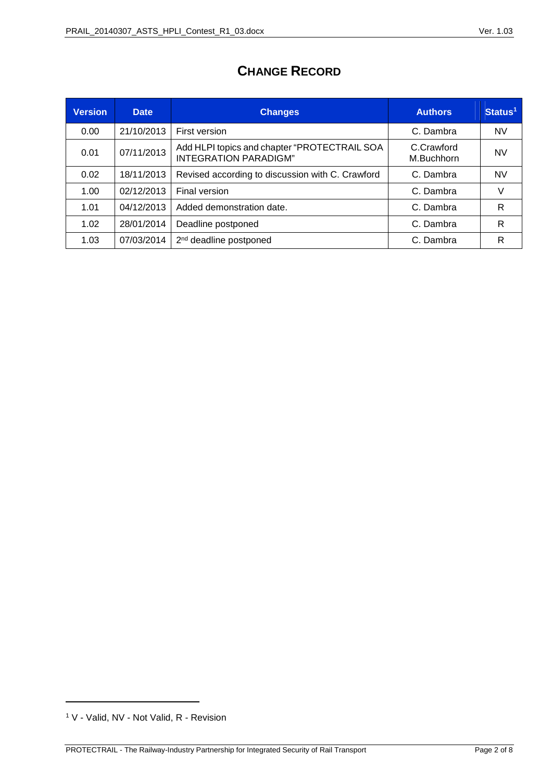## **CHANGE RECORD**

| <b>Version</b> | <b>Date</b> | <b>Changes</b>                                                               | <b>Authors</b>           | Status <sup>1</sup> |
|----------------|-------------|------------------------------------------------------------------------------|--------------------------|---------------------|
| 0.00           | 21/10/2013  | First version                                                                | C. Dambra                | <b>NV</b>           |
| 0.01           | 07/11/2013  | Add HLPI topics and chapter "PROTECTRAIL SOA<br><b>INTEGRATION PARADIGM"</b> | C.Crawford<br>M.Buchhorn | NV                  |
| 0.02           | 18/11/2013  | Revised according to discussion with C. Crawford                             | C. Dambra                | <b>NV</b>           |
| 1.00           | 02/12/2013  | Final version                                                                | C. Dambra                | V                   |
| 1.01           | 04/12/2013  | Added demonstration date.                                                    | C. Dambra                | R                   |
| 1.02           | 28/01/2014  | Deadline postponed                                                           | C. Dambra                | R                   |
| 1.03           | 07/03/2014  | 2 <sup>nd</sup> deadline postponed                                           | C. Dambra                | R                   |

<sup>1</sup> V - Valid, NV - Not Valid, R - Revision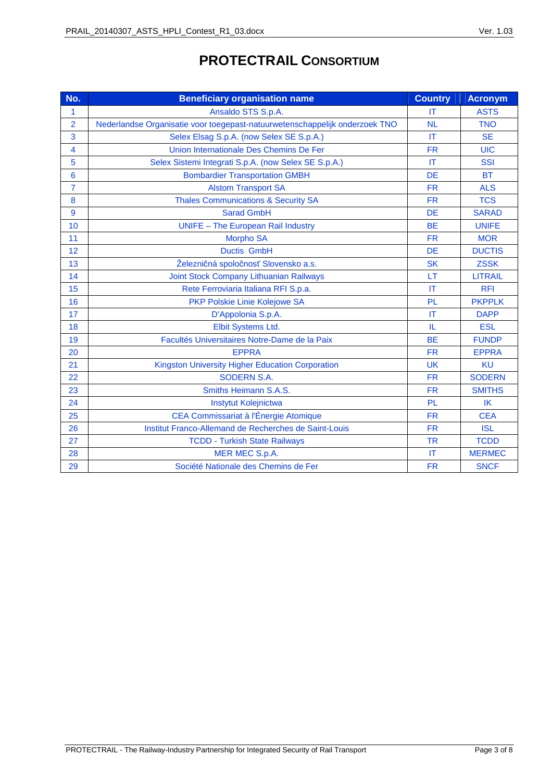## **PROTECTRAIL CONSORTIUM**

| No.            | <b>Beneficiary organisation name</b>                                        | <b>Country</b> | <b>Acronym</b> |
|----------------|-----------------------------------------------------------------------------|----------------|----------------|
| 1              | Ansaldo STS S.p.A.                                                          | IT             | <b>ASTS</b>    |
| $\overline{2}$ | Nederlandse Organisatie voor toegepast-natuurwetenschappelijk onderzoek TNO | <b>NL</b>      | <b>TNO</b>     |
| 3              | Selex Elsag S.p.A. (now Selex SE S.p.A.)                                    | <b>IT</b>      | <b>SE</b>      |
| 4              | Union Internationale Des Chemins De Fer                                     | <b>FR</b>      | <b>UIC</b>     |
| 5              | Selex Sistemi Integrati S.p.A. (now Selex SE S.p.A.)                        | IT             | <b>SSI</b>     |
| 6              | <b>Bombardier Transportation GMBH</b>                                       | <b>DE</b>      | <b>BT</b>      |
| $\overline{7}$ | <b>Alstom Transport SA</b>                                                  | <b>FR</b>      | <b>ALS</b>     |
| 8              | <b>Thales Communications &amp; Security SA</b>                              | <b>FR</b>      | <b>TCS</b>     |
| 9              | <b>Sarad GmbH</b>                                                           | <b>DE</b>      | <b>SARAD</b>   |
| 10             | <b>UNIFE - The European Rail Industry</b>                                   | <b>BE</b>      | <b>UNIFE</b>   |
| 11             | <b>Morpho SA</b>                                                            | <b>FR</b>      | <b>MOR</b>     |
| 12             | Ductis GmbH                                                                 | <b>DE</b>      | <b>DUCTIS</b>  |
| 13             | Železničná spoločnosť Slovensko a.s.                                        | <b>SK</b>      | <b>ZSSK</b>    |
| 14             | Joint Stock Company Lithuanian Railways                                     | LT             | <b>LITRAIL</b> |
| 15             | Rete Ferroviaria Italiana RFI S.p.a.                                        | IT             | <b>RFI</b>     |
| 16             | PKP Polskie Linie Kolejowe SA                                               | PL             | <b>PKPPLK</b>  |
| 17             | D'Appolonia S.p.A.                                                          | IT             | <b>DAPP</b>    |
| 18             | Elbit Systems Ltd.                                                          | IL             | <b>ESL</b>     |
| 19             | Facultés Universitaires Notre-Dame de la Paix                               | <b>BE</b>      | <b>FUNDP</b>   |
| 20             | <b>EPPRA</b>                                                                | <b>FR</b>      | <b>EPPRA</b>   |
| 21             | Kingston University Higher Education Corporation                            | <b>UK</b>      | <b>KU</b>      |
| 22             | <b>SODERN S.A.</b>                                                          | <b>FR</b>      | <b>SODERN</b>  |
| 23             | Smiths Heimann S.A.S.                                                       | <b>FR</b>      | <b>SMITHS</b>  |
| 24             | Instytut Kolejnictwa                                                        | <b>PL</b>      | IK             |
| 25             | CEA Commissariat à l'Énergie Atomique                                       | <b>FR</b>      | <b>CEA</b>     |
| 26             | Institut Franco-Allemand de Recherches de Saint-Louis                       | <b>FR</b>      | <b>ISL</b>     |
| 27             | <b>TCDD - Turkish State Railways</b>                                        | <b>TR</b>      | <b>TCDD</b>    |
| 28             | MER MEC S.p.A.                                                              | IT             | <b>MERMEC</b>  |
| 29             | Société Nationale des Chemins de Fer                                        | <b>FR</b>      | <b>SNCF</b>    |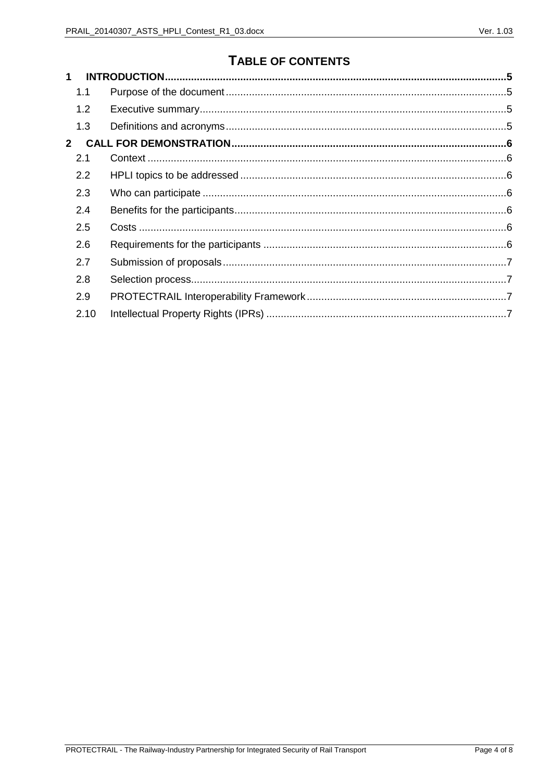### **TABLE OF CONTENTS**

| 1 |              |  |
|---|--------------|--|
|   | 1.1          |  |
|   | 1.2          |  |
|   | 1.3          |  |
|   | $\mathbf{2}$ |  |
|   | 2.1          |  |
|   | 2.2          |  |
|   | 2.3          |  |
|   | 2.4          |  |
|   | 2.5          |  |
|   | 2.6          |  |
|   | 2.7          |  |
|   | 2.8          |  |
|   | 2.9          |  |
|   | 2.10         |  |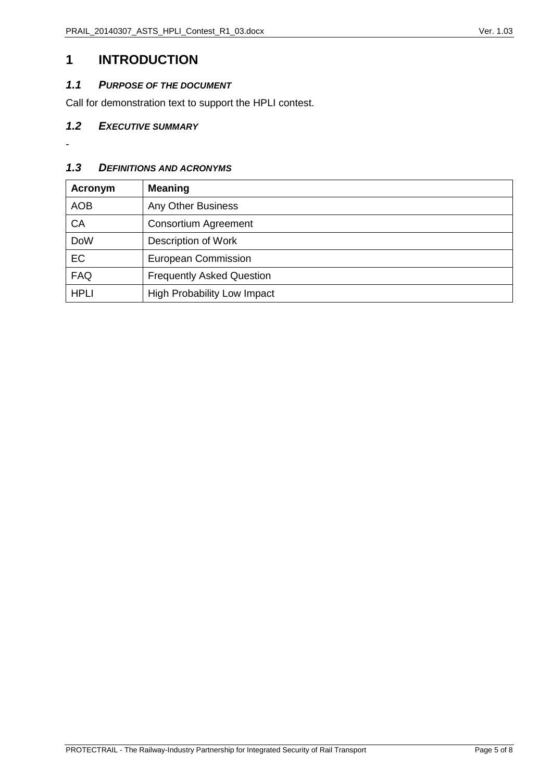### **1 INTRODUCTION**

#### **1.1 PURPOSE OF THE DOCUMENT**

Call for demonstration text to support the HPLI contest.

#### **1.2 EXECUTIVE SUMMARY**

-

#### **1.3 DEFINITIONS AND ACRONYMS**

| Acronym     | <b>Meaning</b>                     |
|-------------|------------------------------------|
| <b>AOB</b>  | <b>Any Other Business</b>          |
| CA          | <b>Consortium Agreement</b>        |
| <b>DoW</b>  | Description of Work                |
| EC          | <b>European Commission</b>         |
| <b>FAQ</b>  | <b>Frequently Asked Question</b>   |
| <b>HPLI</b> | <b>High Probability Low Impact</b> |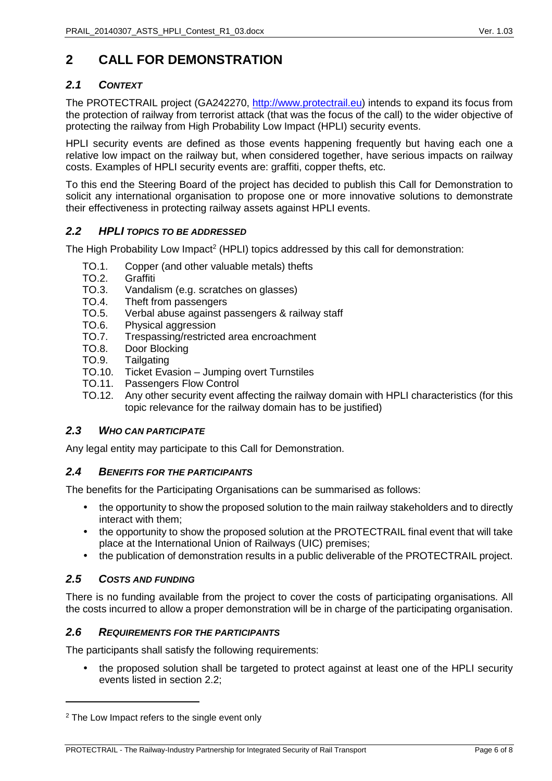## **2 CALL FOR DEMONSTRATION**

### **2.1 CONTEXT**

The PROTECTRAIL project (GA242270, http://www.protectrail.eu) intends to expand its focus from the protection of railway from terrorist attack (that was the focus of the call) to the wider objective of protecting the railway from High Probability Low Impact (HPLI) security events.

HPLI security events are defined as those events happening frequently but having each one a relative low impact on the railway but, when considered together, have serious impacts on railway costs. Examples of HPLI security events are: graffiti, copper thefts, etc.

To this end the Steering Board of the project has decided to publish this Call for Demonstration to solicit any international organisation to propose one or more innovative solutions to demonstrate their effectiveness in protecting railway assets against HPLI events.

#### **2.2 HPLI TOPICS TO BE ADDRESSED**

The High Probability Low Impact<sup>2</sup> (HPLI) topics addressed by this call for demonstration:

- TO.1. Copper (and other valuable metals) thefts
- TO.2. Graffiti
- TO.3. Vandalism (e.g. scratches on glasses)
- TO.4. Theft from passengers
- TO.5. Verbal abuse against passengers & railway staff
- TO.6. Physical aggression
- TO.7. Trespassing/restricted area encroachment
- TO.8. Door Blocking
- TO.9. Tailgating
- TO.10. Ticket Evasion Jumping overt Turnstiles
- TO.11. Passengers Flow Control
- TO.12. Any other security event affecting the railway domain with HPLI characteristics (for this topic relevance for the railway domain has to be justified)

#### **2.3 WHO CAN PARTICIPATE**

Any legal entity may participate to this Call for Demonstration.

#### **2.4 BENEFITS FOR THE PARTICIPANTS**

The benefits for the Participating Organisations can be summarised as follows:

- the opportunity to show the proposed solution to the main railway stakeholders and to directly interact with them;
- the opportunity to show the proposed solution at the PROTECTRAIL final event that will take place at the International Union of Railways (UIC) premises;
- the publication of demonstration results in a public deliverable of the PROTECTRAIL project.

#### **2.5 COSTS AND FUNDING**

There is no funding available from the project to cover the costs of participating organisations. All the costs incurred to allow a proper demonstration will be in charge of the participating organisation.

#### **2.6 REQUIREMENTS FOR THE PARTICIPANTS**

The participants shall satisfy the following requirements:

• the proposed solution shall be targeted to protect against at least one of the HPLI security events listed in section 2.2;

<sup>&</sup>lt;sup>2</sup> The Low Impact refers to the single event only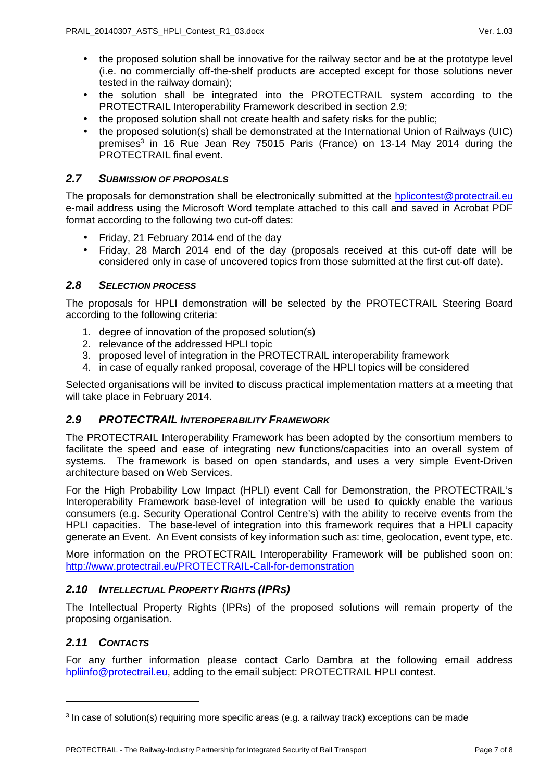- the proposed solution shall be innovative for the railway sector and be at the prototype level (i.e. no commercially off-the-shelf products are accepted except for those solutions never tested in the railway domain);
- the solution shall be integrated into the PROTECTRAIL system according to the PROTECTRAIL Interoperability Framework described in section 2.9;
- the proposed solution shall not create health and safety risks for the public:
- the proposed solution(s) shall be demonstrated at the International Union of Railways (UIC) premises<sup>3</sup> in 16 Rue Jean Rey 75015 Paris (France) on 13-14 May 2014 during the PROTECTRAIL final event.

#### **2.7 SUBMISSION OF PROPOSALS**

The proposals for demonstration shall be electronically submitted at the hplicontest@protectrail.eu e-mail address using the Microsoft Word template attached to this call and saved in Acrobat PDF format according to the following two cut-off dates:

- Friday, 21 February 2014 end of the day
- Friday, 28 March 2014 end of the day (proposals received at this cut-off date will be considered only in case of uncovered topics from those submitted at the first cut-off date).

#### **2.8 SELECTION PROCESS**

The proposals for HPLI demonstration will be selected by the PROTECTRAIL Steering Board according to the following criteria:

- 1. degree of innovation of the proposed solution(s)
- 2. relevance of the addressed HPLI topic
- 3. proposed level of integration in the PROTECTRAIL interoperability framework
- 4. in case of equally ranked proposal, coverage of the HPLI topics will be considered

Selected organisations will be invited to discuss practical implementation matters at a meeting that will take place in February 2014.

#### **2.9 PROTECTRAIL INTEROPERABILITY FRAMEWORK**

The PROTECTRAIL Interoperability Framework has been adopted by the consortium members to facilitate the speed and ease of integrating new functions/capacities into an overall system of systems. The framework is based on open standards, and uses a very simple Event-Driven architecture based on Web Services.

For the High Probability Low Impact (HPLI) event Call for Demonstration, the PROTECTRAIL's Interoperability Framework base-level of integration will be used to quickly enable the various consumers (e.g. Security Operational Control Centre's) with the ability to receive events from the HPLI capacities. The base-level of integration into this framework requires that a HPLI capacity generate an Event. An Event consists of key information such as: time, geolocation, event type, etc.

More information on the PROTECTRAIL Interoperability Framework will be published soon on: http://www.protectrail.eu/PROTECTRAIL-Call-for-demonstration

#### **2.10 INTELLECTUAL PROPERTY RIGHTS (IPRS)**

The Intellectual Property Rights (IPRs) of the proposed solutions will remain property of the proposing organisation.

#### **2.11 CONTACTS**

For any further information please contact Carlo Dambra at the following email address hpliinfo@protectrail.eu, adding to the email subject: PROTECTRAIL HPLI contest.

<sup>&</sup>lt;sup>3</sup> In case of solution(s) requiring more specific areas (e.g. a railway track) exceptions can be made